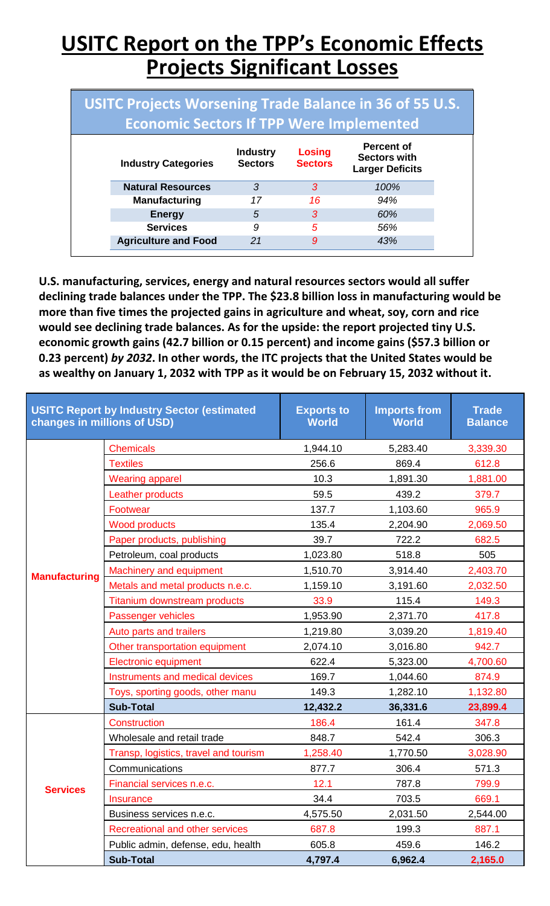## **USITC Report on the TPP's Economic Effects Projects Significant Losses**

| USITC Projects Worsening Trade Balance in 36 of 55 U.S.<br><b>Economic Sectors If TPP Were Implemented</b> |                             |                                   |                          |                                                                    |  |  |  |
|------------------------------------------------------------------------------------------------------------|-----------------------------|-----------------------------------|--------------------------|--------------------------------------------------------------------|--|--|--|
|                                                                                                            | <b>Industry Categories</b>  | <b>Industry</b><br><b>Sectors</b> | Losing<br><b>Sectors</b> | <b>Percent of</b><br><b>Sectors with</b><br><b>Larger Deficits</b> |  |  |  |
|                                                                                                            | <b>Natural Resources</b>    | 3                                 | 3                        | 100%                                                               |  |  |  |
|                                                                                                            | <b>Manufacturing</b>        | 17                                | 16                       | 94%                                                                |  |  |  |
|                                                                                                            | <b>Energy</b>               | 5                                 | 3                        | 60%                                                                |  |  |  |
|                                                                                                            | <b>Services</b>             | 9                                 | 5                        | 56%                                                                |  |  |  |
|                                                                                                            | <b>Agriculture and Food</b> | 21                                | 9                        | 43%                                                                |  |  |  |

**U.S. manufacturing, services, energy and natural resources sectors would all suffer declining trade balances under the TPP. The \$23.8 billion loss in manufacturing would be more than five times the projected gains in agriculture and wheat, soy, corn and rice would see declining trade balances. As for the upside: the report projected tiny U.S. economic growth gains (42.7 billion or 0.15 percent) and income gains (\$57.3 billion or 0.23 percent)** *by 2032***. In other words, the ITC projects that the United States would be as wealthy on January 1, 2032 with TPP as it would be on February 15, 2032 without it.**

| <b>USITC Report by Industry Sector (estimated</b><br>changes in millions of USD) |                                        | <b>Exports to</b><br><b>World</b> | <b>Imports from</b><br><b>World</b> | <b>Trade</b><br><b>Balance</b> |
|----------------------------------------------------------------------------------|----------------------------------------|-----------------------------------|-------------------------------------|--------------------------------|
|                                                                                  | <b>Chemicals</b>                       | 1,944.10                          | 5,283.40                            | 3,339.30                       |
|                                                                                  | <b>Textiles</b>                        | 256.6                             | 869.4                               | 612.8                          |
|                                                                                  | <b>Wearing apparel</b>                 | 10.3                              | 1,891.30                            | 1,881.00                       |
|                                                                                  | <b>Leather products</b>                | 59.5                              | 439.2                               | 379.7                          |
|                                                                                  | Footwear                               | 137.7                             | 1,103.60                            | 965.9                          |
|                                                                                  | <b>Wood products</b>                   | 135.4                             | 2,204.90                            | 2,069.50                       |
|                                                                                  | Paper products, publishing             | 39.7                              | 722.2                               | 682.5                          |
|                                                                                  | Petroleum, coal products               | 1,023.80                          | 518.8                               | 505                            |
| <b>Manufacturing</b>                                                             | <b>Machinery and equipment</b>         | 1,510.70                          | 3,914.40                            | 2,403.70                       |
|                                                                                  | Metals and metal products n.e.c.       | 1,159.10                          | 3,191.60                            | 2,032.50                       |
|                                                                                  | <b>Titanium downstream products</b>    | 33.9                              | 115.4                               | 149.3                          |
|                                                                                  | Passenger vehicles                     | 1,953.90                          | 2,371.70                            | 417.8                          |
|                                                                                  | Auto parts and trailers                | 1,219.80                          | 3,039.20                            | 1,819.40                       |
|                                                                                  | Other transportation equipment         | 2,074.10                          | 3,016.80                            | 942.7                          |
|                                                                                  | <b>Electronic equipment</b>            | 622.4                             | 5,323.00                            | 4,700.60                       |
|                                                                                  | Instruments and medical devices        | 169.7                             | 1,044.60                            | 874.9                          |
|                                                                                  | Toys, sporting goods, other manu       | 149.3                             | 1,282.10                            | 1,132.80                       |
|                                                                                  | <b>Sub-Total</b>                       | 12,432.2                          | 36,331.6                            | 23,899.4                       |
|                                                                                  | Construction                           | 186.4                             | 161.4                               | 347.8                          |
|                                                                                  | Wholesale and retail trade             | 848.7                             | 542.4                               | 306.3                          |
|                                                                                  | Transp, logistics, travel and tourism  | 1,258.40                          | 1,770.50                            | 3,028.90                       |
|                                                                                  | Communications                         | 877.7                             | 306.4                               | 571.3                          |
| <b>Services</b>                                                                  | Financial services n.e.c.              | 12.1                              | 787.8                               | 799.9                          |
|                                                                                  | <b>Insurance</b>                       | 34.4                              | 703.5                               | 669.1                          |
|                                                                                  | Business services n.e.c.               | 4,575.50                          | 2,031.50                            | 2,544.00                       |
|                                                                                  | <b>Recreational and other services</b> | 687.8                             | 199.3                               | 887.1                          |
|                                                                                  | Public admin, defense, edu, health     | 605.8                             | 459.6                               | 146.2                          |
|                                                                                  | <b>Sub-Total</b>                       | 4,797.4                           | 6,962.4                             | 2,165.0                        |